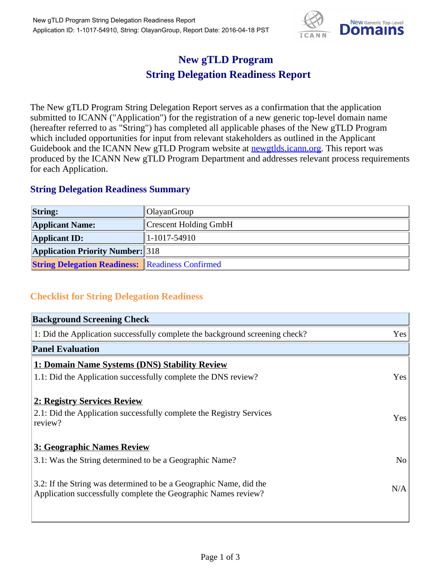

## **New gTLD Program String Delegation Readiness Report**

The New gTLD Program String Delegation Report serves as a confirmation that the application submitted to ICANN ("Application") for the registration of a new generic top-level domain name (hereafter referred to as "String") has completed all applicable phases of the New gTLD Program which included opportunities for input from relevant stakeholders as outlined in the Applicant Guidebook and the ICANN New gTLD Program website at **newgtlds.icann.org**. This report was produced by the ICANN New gTLD Program Department and addresses relevant process requirements for each Application.

## **String Delegation Readiness Summary**

| <b>String:</b>                                          | OlayanGroup           |
|---------------------------------------------------------|-----------------------|
| <b>Applicant Name:</b>                                  | Crescent Holding GmbH |
| <b>Applicant ID:</b>                                    | $ 1-1017-54910 $      |
| <b>Application Priority Number:</b> 318                 |                       |
| <b>String Delegation Readiness: Readiness Confirmed</b> |                       |

## **Checklist for String Delegation Readiness**

| <b>Background Screening Check</b>                                                                                                    |                |
|--------------------------------------------------------------------------------------------------------------------------------------|----------------|
| 1: Did the Application successfully complete the background screening check?                                                         | Yes            |
| <b>Panel Evaluation</b>                                                                                                              |                |
| 1: Domain Name Systems (DNS) Stability Review                                                                                        |                |
| 1.1: Did the Application successfully complete the DNS review?                                                                       | Yes            |
| 2: Registry Services Review                                                                                                          |                |
| 2.1: Did the Application successfully complete the Registry Services<br>review?                                                      | Yes            |
| 3: Geographic Names Review                                                                                                           |                |
| 3.1: Was the String determined to be a Geographic Name?                                                                              | N <sub>o</sub> |
| 3.2: If the String was determined to be a Geographic Name, did the<br>Application successfully complete the Geographic Names review? | N/A            |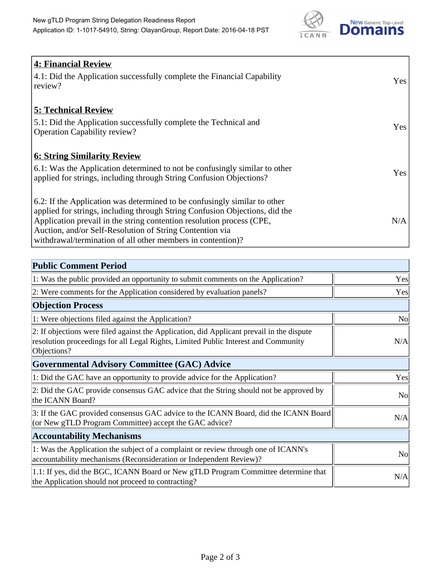

| <b>4: Financial Review</b><br>4.1: Did the Application successfully complete the Financial Capability<br>review?                                                                                                                                                                                                                                             | Yes |
|--------------------------------------------------------------------------------------------------------------------------------------------------------------------------------------------------------------------------------------------------------------------------------------------------------------------------------------------------------------|-----|
| <b>5: Technical Review</b><br>5.1: Did the Application successfully complete the Technical and<br><b>Operation Capability review?</b>                                                                                                                                                                                                                        | Yes |
| <b>6: String Similarity Review</b><br>6.1: Was the Application determined to not be confusingly similar to other<br>applied for strings, including through String Confusion Objections?                                                                                                                                                                      | Yes |
| 6.2: If the Application was determined to be confusingly similar to other<br>applied for strings, including through String Confusion Objections, did the<br>Application prevail in the string contention resolution process (CPE,<br>Auction, and/or Self-Resolution of String Contention via<br>withdrawal/termination of all other members in contention)? | N/A |

| <b>Public Comment Period</b>                                                                                                                                                                   |                |
|------------------------------------------------------------------------------------------------------------------------------------------------------------------------------------------------|----------------|
| 1: Was the public provided an opportunity to submit comments on the Application?                                                                                                               | Yes            |
| 2: Were comments for the Application considered by evaluation panels?                                                                                                                          | Yes            |
| <b>Objection Process</b>                                                                                                                                                                       |                |
| 1: Were objections filed against the Application?                                                                                                                                              | N <sub>o</sub> |
| 2: If objections were filed against the Application, did Applicant prevail in the dispute<br>resolution proceedings for all Legal Rights, Limited Public Interest and Community<br>Objections? | N/A            |
| Governmental Advisory Committee (GAC) Advice                                                                                                                                                   |                |
| 1: Did the GAC have an opportunity to provide advice for the Application?                                                                                                                      | Yes            |
| 2: Did the GAC provide consensus GAC advice that the String should not be approved by<br>the ICANN Board?                                                                                      | <b>No</b>      |
| 3: If the GAC provided consensus GAC advice to the ICANN Board, did the ICANN Board<br>(or New gTLD Program Committee) accept the GAC advice?                                                  | N/A            |
| <b>Accountability Mechanisms</b>                                                                                                                                                               |                |
| 1: Was the Application the subject of a complaint or review through one of ICANN's<br>accountability mechanisms (Reconsideration or Independent Review)?                                       | <b>No</b>      |
| 1.1: If yes, did the BGC, ICANN Board or New gTLD Program Committee determine that<br>the Application should not proceed to contracting?                                                       | N/A            |